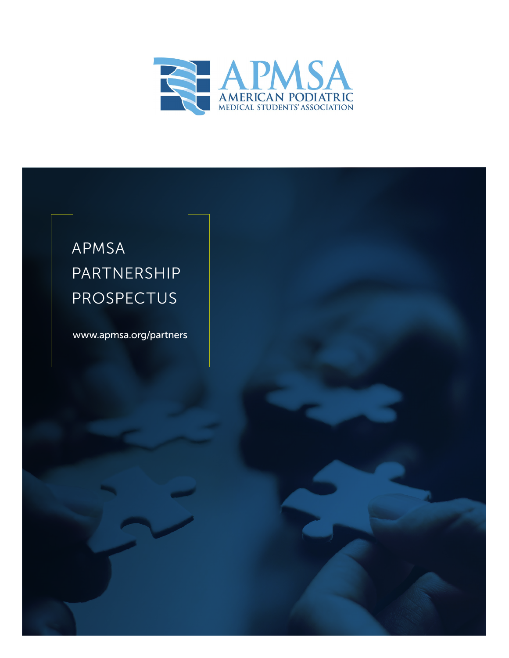

# APMSA PARTNERSHIP PROSPECTUS

[www.apmsa.org/partners](http://www.apmsa.org/partners)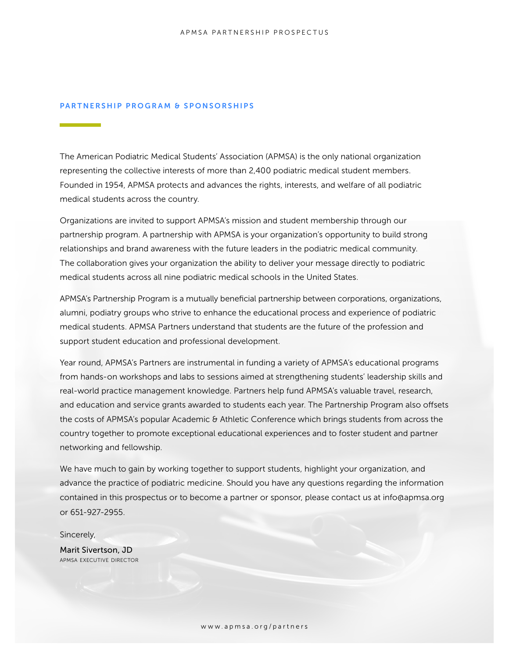#### PARTNERSHIP PROGRAM & SPONSORSHIPS

The American Podiatric Medical Students' Association (APMSA) is the only national organization representing the collective interests of more than 2,400 podiatric medical student members. Founded in 1954, APMSA protects and advances the rights, interests, and welfare of all podiatric medical students across the country.

Organizations are invited to support APMSA's mission and student membership through our partnership program. A partnership with APMSA is your organization's opportunity to build strong relationships and brand awareness with the future leaders in the podiatric medical community. The collaboration gives your organization the ability to deliver your message directly to podiatric medical students across all nine podiatric medical schools in the United States.

APMSA's Partnership Program is a mutually beneficial partnership between corporations, organizations, alumni, podiatry groups who strive to enhance the educational process and experience of podiatric medical students. APMSA Partners understand that students are the future of the profession and support student education and professional development.

Year round, APMSA's Partners are instrumental in funding a variety of APMSA's educational programs from hands-on workshops and labs to sessions aimed at strengthening students' leadership skills and real-world practice management knowledge. Partners help fund APMSA's valuable travel, research, and education and service grants awarded to students each year. The Partnership Program also offsets the costs of APMSA's popular Academic & Athletic Conference which brings students from across the country together to promote exceptional educational experiences and to foster student and partner networking and fellowship.

We have much to gain by working together to support students, highlight your organization, and advance the practice of podiatric medicine. Should you have any questions regarding the information contained in this prospectus or to become a partner or sponsor, please contac[t us at info@apmsa.org](mailto:info%40apmsa.org?subject=)  or 651-927-2955.

Sincerely,

Marit Sivertson, JD apmsa executive director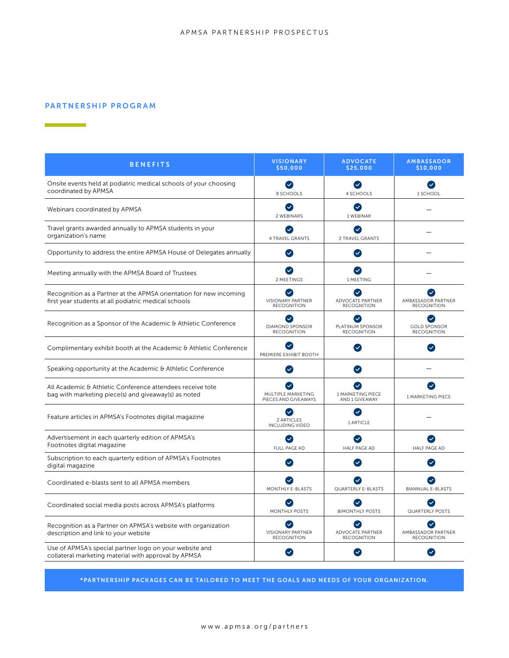#### PARTNERSHIP PROGRAM

 $\mathcal{O}(\mathcal{O}_\mathcal{O})$  . The set of  $\mathcal{O}(\mathcal{O}_\mathcal{O})$ 

| <b>BENEFITS</b>                                                                                                            | <b>VISIONARY</b><br>\$50,000                   | <b>ADVOCATE</b><br>\$25,000                                       | <b>AMBASSADOR</b><br>\$10,000             |
|----------------------------------------------------------------------------------------------------------------------------|------------------------------------------------|-------------------------------------------------------------------|-------------------------------------------|
| Onsite events held at podiatric medical schools of your choosing<br>coordinated by APMSA                                   | $\sim$<br>9 SCHOOLS                            | $\sim$<br>4 SCHOOLS                                               | $\bullet$<br>1 SCHOOL                     |
| Webinars coordinated by APMSA                                                                                              | $\sim$<br>2 WEBINARS                           | $\bullet$<br>1 WEBINAR                                            |                                           |
| Travel grants awarded annually to APMSA students in your<br>organization's name                                            | $\blacktriangledown$<br><b>4 TRAVEL GRANTS</b> | $\left( \bigtriangledown \right)$<br>2 TRAVEL GRANTS              |                                           |
| Opportunity to address the entire APMSA House of Delegates annually                                                        | Ø                                              | Ø                                                                 |                                           |
| Meeting annually with the APMSA Board of Trustees                                                                          | $\blacktriangledown$<br>2 MEETINGS             | $\left( $<br>1 MEETING                                            |                                           |
| Recognition as a Partner at the APMSA orientation for new incoming<br>first year students at all podiatric medical schools | <b>VISIONARY PARTNER</b><br><b>RECOGNITION</b> | $\overline{\mathbf{v}}$<br>ADVOCATE PARTNER<br><b>RECOGNITION</b> | AMBASSADOR PARTNER<br><b>RECOGNITION</b>  |
| Recognition as a Sponsor of the Academic & Athletic Conference                                                             | <b>DIAMOND SPONSOR</b><br><b>RECOGNITION</b>   | PLATINUM SPONSOR<br><b>RECOGNITION</b>                            | <b>GOLD SPONSOR</b><br><b>RECOGNITION</b> |
| Complimentary exhibit booth at the Academic & Athletic Conference                                                          | $\checkmark$<br>PREMIERE EXHIBIT BOOTH         | $\left( \bigtriangledown \right)$                                 | $\blacktriangledown$                      |
| Speaking opportunity at the Academic & Athletic Conference                                                                 | $\sim$                                         | $\left( \bigtriangledown \right)$                                 |                                           |
| All Academic & Athletic Conference attendees receive tote<br>bag with marketing piece(s) and giveaway(s) as noted          | MULTIPLE MARKETING<br>PIECES AND GIVEAWAYS     | 1 MARKETING PIECE<br>AND 1 GIVEAWAY                               | <b>1 MARKETING PIECE</b>                  |
| Feature articles in APMSA's Footnotes digital magazine                                                                     | 2 ARTICI FS<br><b>INCLUDING VIDEO</b>          | $\left( \bigtriangledown \right)$<br>1 ARTICLE                    |                                           |
| Advertisement in each quarterly edition of APMSA's<br>Footnotes digital magazine                                           | <b>FULL PAGE AD</b>                            | $\left( \bigtriangledown \right)$<br><b>HALF PAGE AD</b>          | <b>HALF PAGE AD</b>                       |
| Subscription to each quarterly edition of APMSA's Footnotes<br>digital magazine                                            | $\mathcal{S}$                                  | $\left( \bigtriangledown \right)$                                 | $\blacktriangledown$                      |
| Coordinated e-blasts sent to all APMSA members                                                                             | MONTHLY E-BLASTS                               | <b>QUARTERLY E-BLASTS</b>                                         | <b>BIANNUAL E-BLASTS</b>                  |
| Coordinated social media posts across APMSA's platforms                                                                    | <b>MONTHLY POSTS</b>                           | $\checkmark$<br><b>BIMONTHLY POSTS</b>                            | <b>QUARTERLY POSTS</b>                    |
| Recognition as a Partner on APMSA's website with organization<br>description and link to your website                      | <b>VISIONARY PARTNER</b><br><b>RECOGNITION</b> | $\checkmark$<br>ADVOCATE PARTNER<br><b>RECOGNITION</b>            | AMBASSADOR PARTNER<br><b>RECOGNITION</b>  |
| Use of APMSA's special partner logo on your website and<br>collateral marketing material with approval by APMSA            |                                                | $\checkmark$                                                      |                                           |

\*PARTNERSHIP PACKAGES CAN BE TAILORED TO MEET THE GOALS AND NEEDS OF YOUR ORGANIZATION.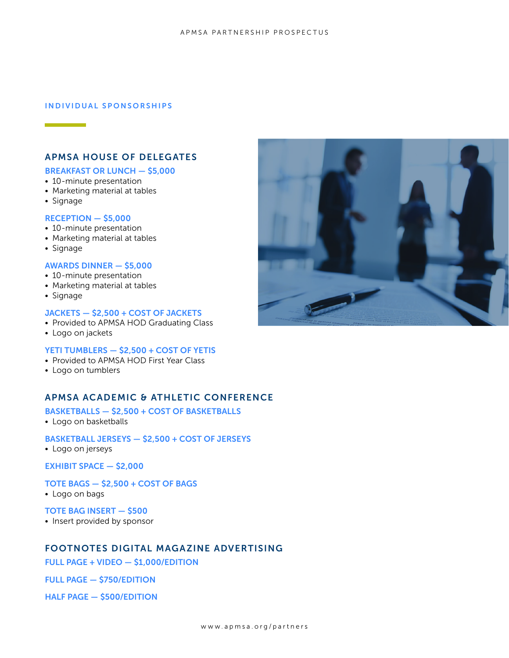#### INDIVIDUAL SPONSORSHIPS

### APMSA HOUSE OF DELEGATES

#### BREAKFAST OR LUNCH — \$5,000

- 10-minute presentation
- Marketing material at tables
- Signage

#### RECEPTION — \$5,000

- 10-minute presentation
- Marketing material at tables
- Signage

#### AWARDS DINNER — \$5,000

- 10-minute presentation
- Marketing material at tables
- Signage

#### JACKETS - \$2,500 + COST OF JACKETS

- Provided to APMSA HOD Graduating Class
- Logo on jackets

#### YETI TUMBLERS - \$2,500 + COST OF YETIS

- Provided to APMSA HOD First Year Class
- Logo on tumblers

## APMSA ACADEMIC & ATHLETIC CONFERENCE

# BASKETBALLS — \$2,500 + COST OF BASKETBALLS

- Logo on basketballs
- BASKETBALL JERSEYS \$2,500 + COST OF JERSEYS
- Logo on jerseys

EXHIBIT SPACE — \$2,000

TOTE BAGS — \$2,500 + COST OF BAGS

• Logo on bags

TOTE BAG INSERT — \$500

• Insert provided by sponsor

# FOOTNOTES DIGITAL MAGAZINE ADVERTISING

FULL PAGE + VIDEO — \$1,000/EDITION

FULL PAGE — \$750/EDITION

HALF PAGE — \$500/EDITION